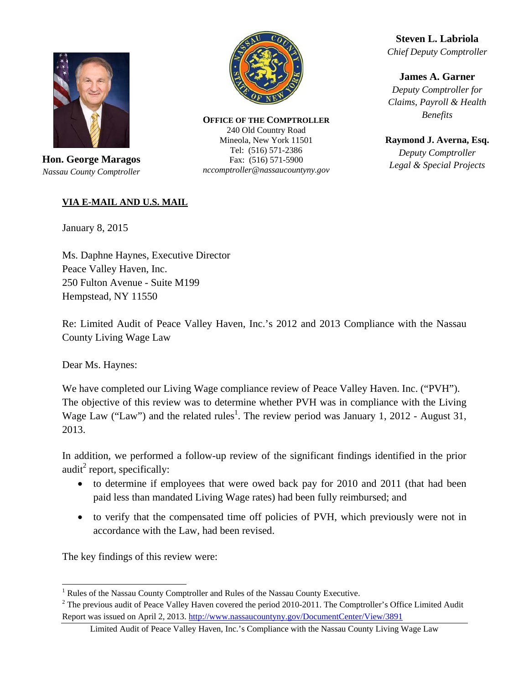

**Hon. George Maragos**  *Nassau County Comptroller* 



**OFFICE OF THE COMPTROLLER** 240 Old Country Road Mineola, New York 11501 Tel: (516) 571-2386 Fax: (516) 571-5900 *nccomptroller@nassaucountyny.gov* 

**Steven L. Labriola**  *Chief Deputy Comptroller* 

**James A. Garner**  *Deputy Comptroller for Claims, Payroll & Health Benefits* 

**Raymond J. Averna, Esq.**  *Deputy Comptroller Legal & Special Projects* 

## **VIA E**-**MAIL AND U.S. MAIL**

January 8, 2015

Ms. Daphne Haynes, Executive Director Peace Valley Haven, Inc. 250 Fulton Avenue - Suite M199 Hempstead, NY 11550

Re: Limited Audit of Peace Valley Haven, Inc.'s 2012 and 2013 Compliance with the Nassau County Living Wage Law

Dear Ms. Haynes:

We have completed our Living Wage compliance review of Peace Valley Haven. Inc. ("PVH"). The objective of this review was to determine whether PVH was in compliance with the Living Wage Law ("Law") and the related rules<sup>1</sup>. The review period was January 1, 2012 - August 31, 2013.

In addition, we performed a follow-up review of the significant findings identified in the prior audit<sup>2</sup> report, specifically:

- to determine if employees that were owed back pay for 2010 and 2011 (that had been paid less than mandated Living Wage rates) had been fully reimbursed; and
- to verify that the compensated time off policies of PVH, which previously were not in accordance with the Law, had been revised.

The key findings of this review were:

 $\overline{a}$ <sup>1</sup> Rules of the Nassau County Comptroller and Rules of the Nassau County Executive.

<sup>&</sup>lt;sup>2</sup> The previous audit of Peace Valley Haven covered the period 2010-2011. The Comptroller's Office Limited Audit Report was issued on April 2, 2013. http://www.nassaucountyny.gov/DocumentCenter/View/3891

Limited Audit of Peace Valley Haven, Inc.'s Compliance with the Nassau County Living Wage Law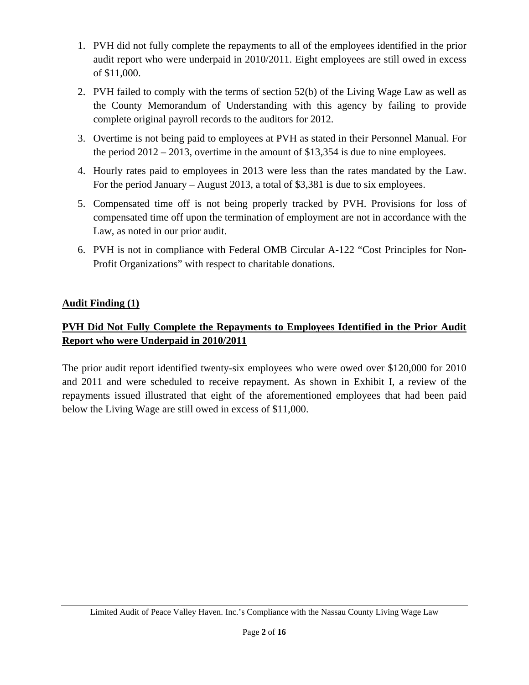- 1. PVH did not fully complete the repayments to all of the employees identified in the prior audit report who were underpaid in 2010/2011. Eight employees are still owed in excess of \$11,000.
- 2. PVH failed to comply with the terms of section 52(b) of the Living Wage Law as well as the County Memorandum of Understanding with this agency by failing to provide complete original payroll records to the auditors for 2012.
- 3. Overtime is not being paid to employees at PVH as stated in their Personnel Manual. For the period 2012 – 2013, overtime in the amount of \$13,354 is due to nine employees.
- 4. Hourly rates paid to employees in 2013 were less than the rates mandated by the Law. For the period January – August 2013, a total of \$3,381 is due to six employees.
- 5. Compensated time off is not being properly tracked by PVH. Provisions for loss of compensated time off upon the termination of employment are not in accordance with the Law, as noted in our prior audit.
- 6. PVH is not in compliance with Federal OMB Circular A-122 "Cost Principles for Non-Profit Organizations" with respect to charitable donations.

# **Audit Finding (1)**

# **PVH Did Not Fully Complete the Repayments to Employees Identified in the Prior Audit Report who were Underpaid in 2010/2011**

The prior audit report identified twenty-six employees who were owed over \$120,000 for 2010 and 2011 and were scheduled to receive repayment. As shown in Exhibit I, a review of the repayments issued illustrated that eight of the aforementioned employees that had been paid below the Living Wage are still owed in excess of \$11,000.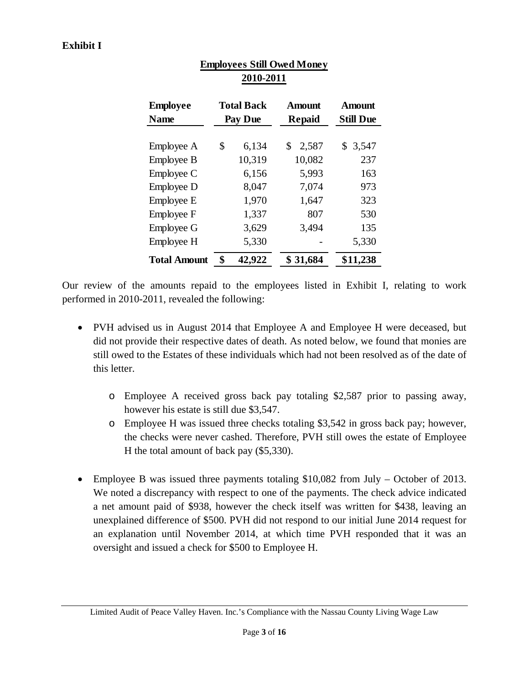| <b>Employee</b><br><b>Name</b> | <b>Total Back</b><br><b>Pay Due</b> | <b>Amount</b><br>Repaid | <b>Amount</b><br><b>Still Due</b> |
|--------------------------------|-------------------------------------|-------------------------|-----------------------------------|
| Employee A                     | \$<br>6,134                         | \$<br>2,587             | 3,547<br>\$                       |
| Employee B                     | 10,319                              | 10,082                  | 237                               |
| Employee C                     | 6,156                               | 5,993                   | 163                               |
| Employee D                     | 8,047                               | 7,074                   | 973                               |
| Employee E                     | 1,970                               | 1,647                   | 323                               |
| Employee F                     | 1,337                               | 807                     | 530                               |
| <b>Employee G</b>              | 3,629                               | 3,494                   | 135                               |
| Employee H                     | 5,330                               |                         | 5,330                             |
| <b>Total Amount</b>            | \$<br>42,922                        | \$31,684                | \$11,238                          |

# **Employees Still Owed Money 2010-2011**

Our review of the amounts repaid to the employees listed in Exhibit I, relating to work performed in 2010-2011, revealed the following:

- PVH advised us in August 2014 that Employee A and Employee H were deceased, but did not provide their respective dates of death. As noted below, we found that monies are still owed to the Estates of these individuals which had not been resolved as of the date of this letter.
	- o Employee A received gross back pay totaling \$2,587 prior to passing away, however his estate is still due \$3,547.
	- o Employee H was issued three checks totaling \$3,542 in gross back pay; however, the checks were never cashed. Therefore, PVH still owes the estate of Employee H the total amount of back pay (\$5,330).
- Employee B was issued three payments totaling \$10,082 from July October of 2013. We noted a discrepancy with respect to one of the payments. The check advice indicated a net amount paid of \$938, however the check itself was written for \$438, leaving an unexplained difference of \$500. PVH did not respond to our initial June 2014 request for an explanation until November 2014, at which time PVH responded that it was an oversight and issued a check for \$500 to Employee H.

Limited Audit of Peace Valley Haven. Inc.'s Compliance with the Nassau County Living Wage Law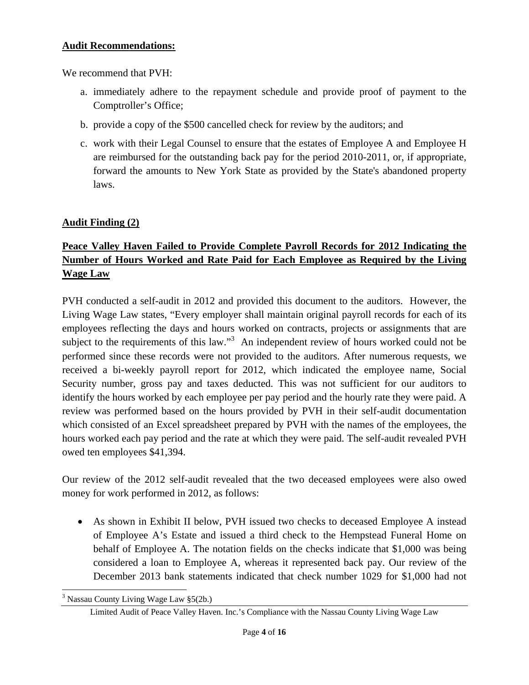## **Audit Recommendations:**

We recommend that PVH:

- a. immediately adhere to the repayment schedule and provide proof of payment to the Comptroller's Office;
- b. provide a copy of the \$500 cancelled check for review by the auditors; and
- c. work with their Legal Counsel to ensure that the estates of Employee A and Employee H are reimbursed for the outstanding back pay for the period 2010-2011, or, if appropriate, forward the amounts to New York State as provided by the State's abandoned property laws.

## **Audit Finding (2)**

# **Peace Valley Haven Failed to Provide Complete Payroll Records for 2012 Indicating the Number of Hours Worked and Rate Paid for Each Employee as Required by the Living Wage Law**

PVH conducted a self-audit in 2012 and provided this document to the auditors. However, the Living Wage Law states, "Every employer shall maintain original payroll records for each of its employees reflecting the days and hours worked on contracts, projects or assignments that are subject to the requirements of this law."<sup>3</sup> An independent review of hours worked could not be performed since these records were not provided to the auditors. After numerous requests, we received a bi-weekly payroll report for 2012, which indicated the employee name, Social Security number, gross pay and taxes deducted. This was not sufficient for our auditors to identify the hours worked by each employee per pay period and the hourly rate they were paid. A review was performed based on the hours provided by PVH in their self-audit documentation which consisted of an Excel spreadsheet prepared by PVH with the names of the employees, the hours worked each pay period and the rate at which they were paid. The self-audit revealed PVH owed ten employees \$41,394.

Our review of the 2012 self-audit revealed that the two deceased employees were also owed money for work performed in 2012, as follows:

• As shown in Exhibit II below, PVH issued two checks to deceased Employee A instead of Employee A's Estate and issued a third check to the Hempstead Funeral Home on behalf of Employee A. The notation fields on the checks indicate that \$1,000 was being considered a loan to Employee A, whereas it represented back pay. Our review of the December 2013 bank statements indicated that check number 1029 for \$1,000 had not

 $\overline{a}$ 

<sup>&</sup>lt;sup>3</sup> Nassau County Living Wage Law §5(2b.)

Limited Audit of Peace Valley Haven. Inc.'s Compliance with the Nassau County Living Wage Law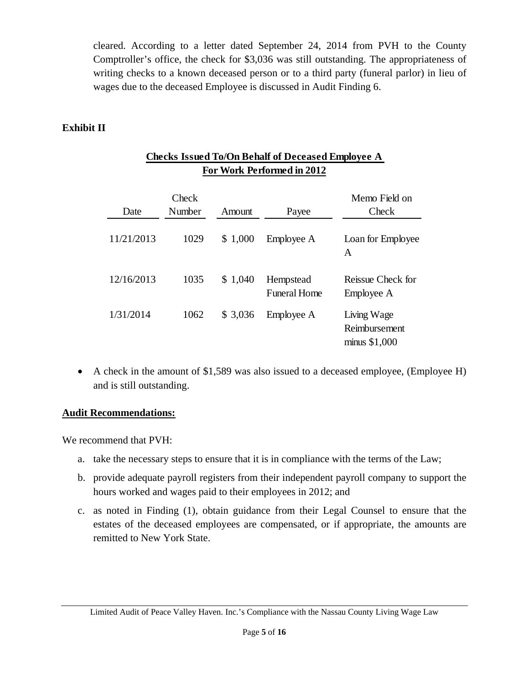cleared. According to a letter dated September 24, 2014 from PVH to the County Comptroller's office, the check for \$3,036 was still outstanding. The appropriateness of writing checks to a known deceased person or to a third party (funeral parlor) in lieu of wages due to the deceased Employee is discussed in Audit Finding 6.

# **Exhibit II**

| Date       | Check<br>Number | Amount      | Payee                            | Memo Field on<br>Check                        |
|------------|-----------------|-------------|----------------------------------|-----------------------------------------------|
| 11/21/2013 | 1029            | 1,000<br>\$ | Employee A                       | Loan for Employee<br>A                        |
| 12/16/2013 | 1035            | \$1,040     | Hempstead<br><b>Funeral Home</b> | Reissue Check for<br>Employee A               |
| 1/31/2014  | 1062            | \$3,036     | Employee A                       | Living Wage<br>Reimbursement<br>minus \$1,000 |

## **Checks Issued To/On Behalf of Deceased Employee A For Work Performed in 2012**

• A check in the amount of \$1,589 was also issued to a deceased employee, (Employee H) and is still outstanding.

# **Audit Recommendations:**

We recommend that PVH:

- a. take the necessary steps to ensure that it is in compliance with the terms of the Law;
- b. provide adequate payroll registers from their independent payroll company to support the hours worked and wages paid to their employees in 2012; and
- c. as noted in Finding (1), obtain guidance from their Legal Counsel to ensure that the estates of the deceased employees are compensated, or if appropriate, the amounts are remitted to New York State.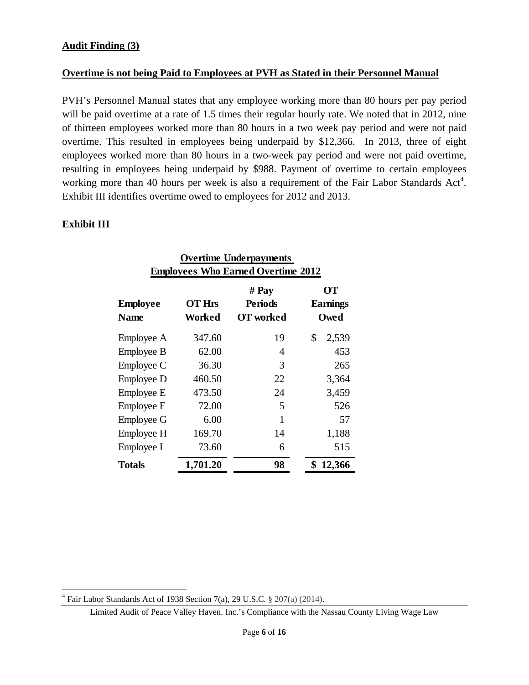## **Overtime is not being Paid to Employees at PVH as Stated in their Personnel Manual**

PVH's Personnel Manual states that any employee working more than 80 hours per pay period will be paid overtime at a rate of 1.5 times their regular hourly rate. We noted that in 2012, nine of thirteen employees worked more than 80 hours in a two week pay period and were not paid overtime. This resulted in employees being underpaid by \$12,366. In 2013, three of eight employees worked more than 80 hours in a two-week pay period and were not paid overtime, resulting in employees being underpaid by \$988. Payment of overtime to certain employees working more than 40 hours per week is also a requirement of the Fair Labor Standards  $Act<sup>4</sup>$ . Exhibit III identifies overtime owed to employees for 2012 and 2013.

## **Exhibit III**

 $\overline{a}$ 

| <b>Overtime Underpayments</b>             |                         |                                             |                                      |
|-------------------------------------------|-------------------------|---------------------------------------------|--------------------------------------|
| <b>Employees Who Earned Overtime 2012</b> |                         |                                             |                                      |
| <b>Employee</b><br><b>Name</b>            | <b>OT Hrs</b><br>Worked | # Pay<br><b>Periods</b><br><b>OT</b> worked | <b>OT</b><br><b>Earnings</b><br>Owed |
| Employee A                                | 347.60                  | 19                                          | \$<br>2,539                          |
| Employee B                                | 62.00                   | 4                                           | 453                                  |
| Employee C                                | 36.30                   | 3                                           | 265                                  |
| Employee D                                | 460.50                  | 22                                          | 3,364                                |
| Employee E                                | 473.50                  | 24                                          | 3,459                                |
| Employee F                                | 72.00                   | 5                                           | 526                                  |
| <b>Employee G</b>                         | 6.00                    | 1                                           | 57                                   |
| Employee H                                | 169.70                  | 14                                          | 1,188                                |
| Employee I                                | 73.60                   | 6                                           | 515                                  |
| Totals                                    | 1,701.20                | 98                                          | 12,366                               |

 $4$  Fair Labor Standards Act of 1938 Section 7(a), 29 U.S.C. § 207(a) (2014).

Limited Audit of Peace Valley Haven. Inc.'s Compliance with the Nassau County Living Wage Law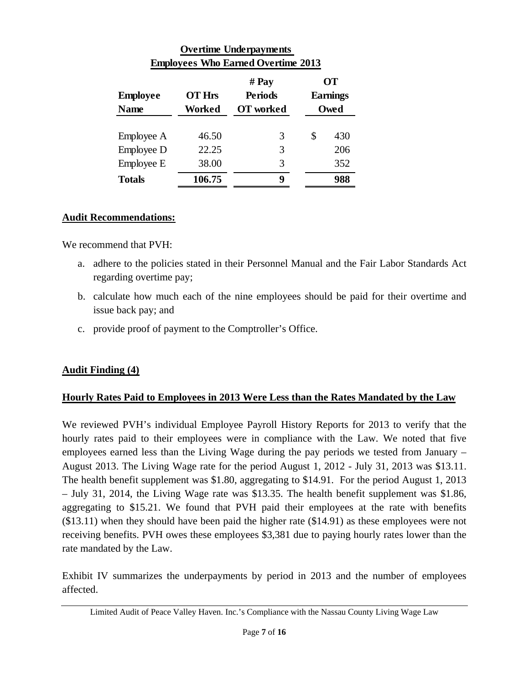| <b>Overtime Underpayments</b>             |               |                |           |                 |
|-------------------------------------------|---------------|----------------|-----------|-----------------|
| <b>Employees Who Earned Overtime 2013</b> |               |                |           |                 |
|                                           | # Pay         |                | <b>OT</b> |                 |
| <b>Employee</b>                           | <b>OT Hrs</b> | <b>Periods</b> |           | <b>Earnings</b> |
| <b>Name</b>                               | Worked        | OT worked      |           | Owed            |
| Employee A                                | 46.50         | 3              | \$        | 430             |
| Employee D                                | 22.25         | 3              |           | 206             |
| Employee E                                | 38.00         | 3              |           | 352             |
| <b>Totals</b>                             | 106.75        | 9              |           | 988             |

## **Audit Recommendations:**

We recommend that PVH:

- a. adhere to the policies stated in their Personnel Manual and the Fair Labor Standards Act regarding overtime pay;
- b. calculate how much each of the nine employees should be paid for their overtime and issue back pay; and
- c. provide proof of payment to the Comptroller's Office.

# **Audit Finding (4)**

## **Hourly Rates Paid to Employees in 2013 Were Less than the Rates Mandated by the Law**

We reviewed PVH's individual Employee Payroll History Reports for 2013 to verify that the hourly rates paid to their employees were in compliance with the Law. We noted that five employees earned less than the Living Wage during the pay periods we tested from January – August 2013. The Living Wage rate for the period August 1, 2012 - July 31, 2013 was \$13.11. The health benefit supplement was \$1.80, aggregating to \$14.91. For the period August 1, 2013 – July 31, 2014, the Living Wage rate was \$13.35. The health benefit supplement was \$1.86, aggregating to \$15.21. We found that PVH paid their employees at the rate with benefits (\$13.11) when they should have been paid the higher rate (\$14.91) as these employees were not receiving benefits. PVH owes these employees \$3,381 due to paying hourly rates lower than the rate mandated by the Law.

Exhibit IV summarizes the underpayments by period in 2013 and the number of employees affected.

Limited Audit of Peace Valley Haven. Inc.'s Compliance with the Nassau County Living Wage Law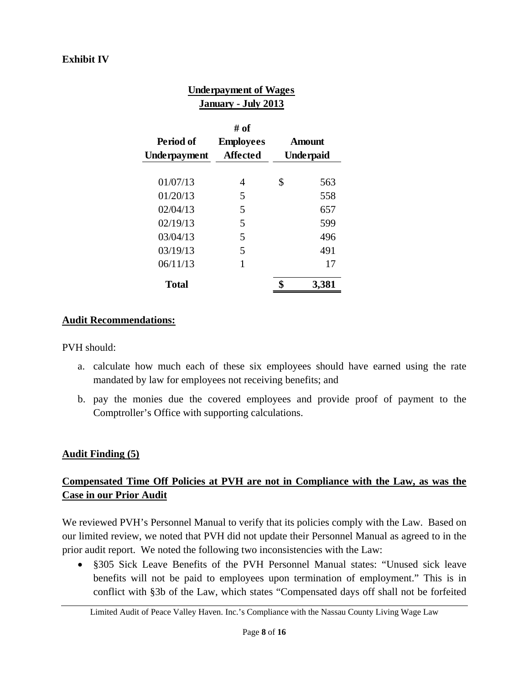# **Exhibit IV**

| <b>Underpayment of Wages</b><br><b>January - July 2013</b> |                                      |    |                                   |
|------------------------------------------------------------|--------------------------------------|----|-----------------------------------|
| Period of<br>Underpayment                                  | # of<br><b>Employees</b><br>Affected |    | <b>Amount</b><br><b>Underpaid</b> |
| 01/07/13                                                   | 4                                    | \$ | 563                               |
| 01/20/13                                                   | 5                                    |    | 558                               |
| 02/04/13                                                   | 5                                    |    | 657                               |
| 02/19/13                                                   | 5                                    |    | 599                               |
| 03/04/13                                                   | 5                                    |    | 496                               |
| 03/19/13                                                   | 5                                    |    | 491                               |
| 06/11/13                                                   | 1                                    |    | 17                                |
| Total                                                      |                                      |    | 3,381                             |

## **Audit Recommendations:**

PVH should:

- a. calculate how much each of these six employees should have earned using the rate mandated by law for employees not receiving benefits; and
- b. pay the monies due the covered employees and provide proof of payment to the Comptroller's Office with supporting calculations.

## **Audit Finding (5)**

# **Compensated Time Off Policies at PVH are not in Compliance with the Law, as was the Case in our Prior Audit**

We reviewed PVH's Personnel Manual to verify that its policies comply with the Law. Based on our limited review, we noted that PVH did not update their Personnel Manual as agreed to in the prior audit report. We noted the following two inconsistencies with the Law:

• §305 Sick Leave Benefits of the PVH Personnel Manual states: "Unused sick leave benefits will not be paid to employees upon termination of employment." This is in conflict with §3b of the Law, which states "Compensated days off shall not be forfeited

Limited Audit of Peace Valley Haven. Inc.'s Compliance with the Nassau County Living Wage Law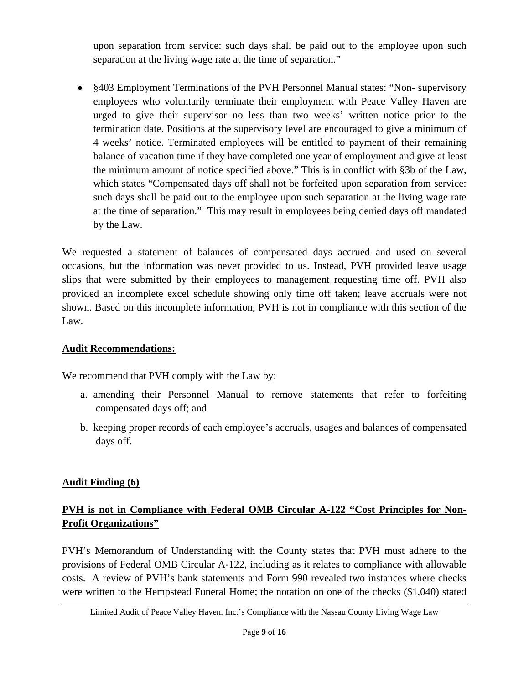upon separation from service: such days shall be paid out to the employee upon such separation at the living wage rate at the time of separation."

• §403 Employment Terminations of the PVH Personnel Manual states: "Non- supervisory employees who voluntarily terminate their employment with Peace Valley Haven are urged to give their supervisor no less than two weeks' written notice prior to the termination date. Positions at the supervisory level are encouraged to give a minimum of 4 weeks' notice. Terminated employees will be entitled to payment of their remaining balance of vacation time if they have completed one year of employment and give at least the minimum amount of notice specified above." This is in conflict with §3b of the Law, which states "Compensated days off shall not be forfeited upon separation from service: such days shall be paid out to the employee upon such separation at the living wage rate at the time of separation." This may result in employees being denied days off mandated by the Law.

We requested a statement of balances of compensated days accrued and used on several occasions, but the information was never provided to us. Instead, PVH provided leave usage slips that were submitted by their employees to management requesting time off. PVH also provided an incomplete excel schedule showing only time off taken; leave accruals were not shown. Based on this incomplete information, PVH is not in compliance with this section of the Law.

# **Audit Recommendations:**

We recommend that PVH comply with the Law by:

- a. amending their Personnel Manual to remove statements that refer to forfeiting compensated days off; and
- b. keeping proper records of each employee's accruals, usages and balances of compensated days off.

# **Audit Finding (6)**

# **PVH is not in Compliance with Federal OMB Circular A-122 "Cost Principles for Non-Profit Organizations"**

PVH's Memorandum of Understanding with the County states that PVH must adhere to the provisions of Federal OMB Circular A-122, including as it relates to compliance with allowable costs. A review of PVH's bank statements and Form 990 revealed two instances where checks were written to the Hempstead Funeral Home; the notation on one of the checks (\$1,040) stated

Limited Audit of Peace Valley Haven. Inc.'s Compliance with the Nassau County Living Wage Law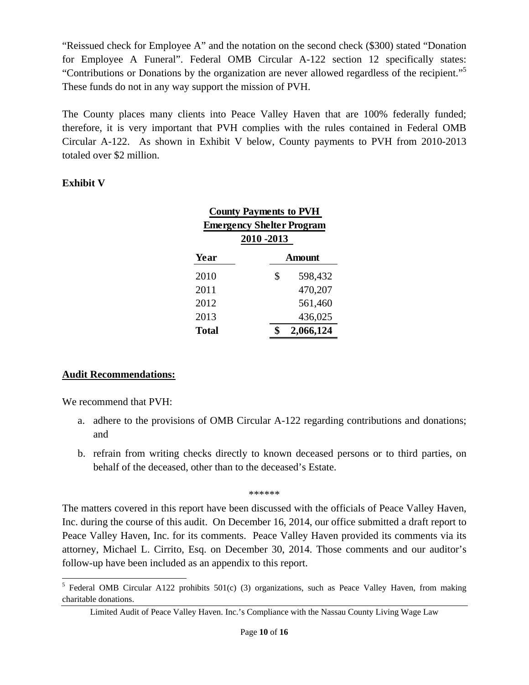"Reissued check for Employee A" and the notation on the second check (\$300) stated "Donation for Employee A Funeral". Federal OMB Circular A-122 section 12 specifically states: "Contributions or Donations by the organization are never allowed regardless of the recipient."5 These funds do not in any way support the mission of PVH.

The County places many clients into Peace Valley Haven that are 100% federally funded; therefore, it is very important that PVH complies with the rules contained in Federal OMB Circular A-122. As shown in Exhibit V below, County payments to PVH from 2010-2013 totaled over \$2 million.

## **Exhibit V**

| <b>County Payments to PVH</b>    |               |  |
|----------------------------------|---------------|--|
| <b>Emergency Shelter Program</b> |               |  |
| 2010 - 2013                      |               |  |
| Year                             | <b>Amount</b> |  |
| 2010                             | \$<br>598,432 |  |
| 2011                             | 470,207       |  |
| 2012                             | 561,460       |  |
| 2013                             | 436,025       |  |
| Total                            | 2,066,124     |  |

# **Audit Recommendations:**

We recommend that PVH:

- a. adhere to the provisions of OMB Circular A-122 regarding contributions and donations; and
- b. refrain from writing checks directly to known deceased persons or to third parties, on behalf of the deceased, other than to the deceased's Estate.

\*\*\*\*\*\*

The matters covered in this report have been discussed with the officials of Peace Valley Haven, Inc. during the course of this audit. On December 16, 2014, our office submitted a draft report to Peace Valley Haven, Inc. for its comments. Peace Valley Haven provided its comments via its attorney, Michael L. Cirrito, Esq. on December 30, 2014. Those comments and our auditor's follow-up have been included as an appendix to this report.

<sup>&</sup>lt;sup>5</sup> Federal OMB Circular A122 prohibits 501(c) (3) organizations, such as Peace Valley Haven, from making charitable donations.

Limited Audit of Peace Valley Haven. Inc.'s Compliance with the Nassau County Living Wage Law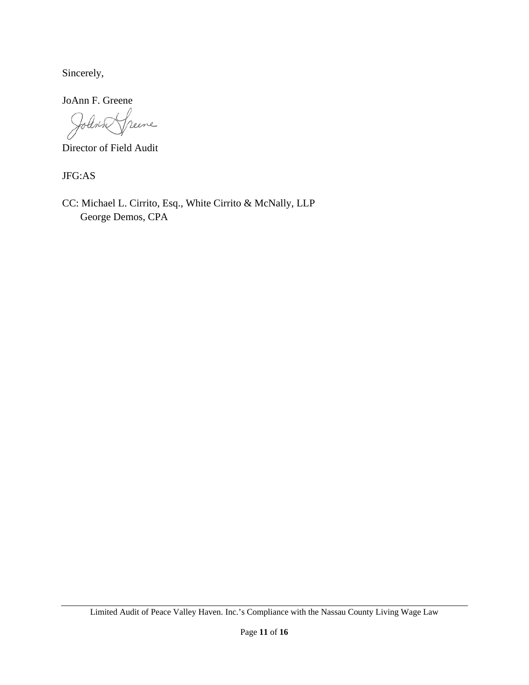Sincerely,

JoAnn F. Greene

Iolen n<br>Veene

Director of Field Audit

JFG:AS

CC: Michael L. Cirrito, Esq., White Cirrito & McNally, LLP George Demos, CPA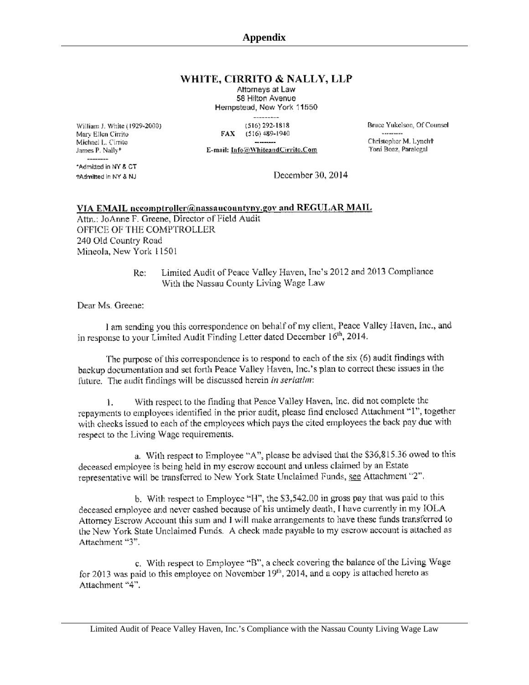#### WHITE, CIRRITO & NALLY, LLP

Attorneys at Law 58 Hilton Avenue Hempstead, New York 11550

William J. White (1929-2000) Mary Ellen Cirrito Michael L. Cirrito James P. Nally\*

 $(516) 292 - 1818$ FAX (516) 489-1940

E-mail: Info@WhiteandCirrito.Com

Bruce Yukelson, Of Counsel  $1.17 - 1.17 - 1.7$ Christopher M. Lynch<sup>+</sup> Toni Boaz, Paralegal

\*Admitted in NY & CT tAdmitted in NY & NJ

December 30, 2014

#### VIA EMAIL necomptroller@nassaucountyny.gov and REGULAR MAIL

Attn.: JoAnne F. Greene, Director of Field Audit OFFICE OF THE COMPTROLLER 240 Old Country Road Mineola, New York 11501

> Limited Audit of Peace Valley Haven, Inc's 2012 and 2013 Compliance Re: With the Nassau County Living Wage Law

Dear Ms. Greene:

I am sending you this correspondence on behalf of my client, Peace Valley Haven, Inc., and in response to your Limited Audit Finding Letter dated December 16<sup>th</sup>, 2014.

The purpose of this correspondence is to respond to each of the six (6) audit findings with backup documentation and set forth Peace Valley Haven, Inc.'s plan to correct these issues in the future. The audit findings will be discussed herein in seriatim:

With respect to the finding that Peace Valley Haven, Inc. did not complete the ĺ. repayments to employees identified in the prior audit, please find enclosed Attachment "1", together with checks issued to each of the employees which pays the cited employees the back pay due with respect to the Living Wage requirements.

a. With respect to Employee "A", please be advised that the \$36,815.36 owed to this deceased employee is being held in my escrow account and unless claimed by an Estate representative will be transferred to New York State Unclaimed Funds, see Attachment "2".

b. With respect to Employee "H", the \$3,542.00 in gross pay that was paid to this deceased employee and never cashed because of his untimely death, I have currently in my IOLA Attorney Escrow Account this sum and I will make arrangements to have these funds transferred to the New York State Unclaimed Funds. A check made payable to my escrow account is attached as Attachment "3".

c. With respect to Employee "B", a check covering the balance of the Living Wage for 2013 was paid to this employee on November  $19<sup>th</sup>$ , 2014, and a copy is attached hereto as Attachment "4".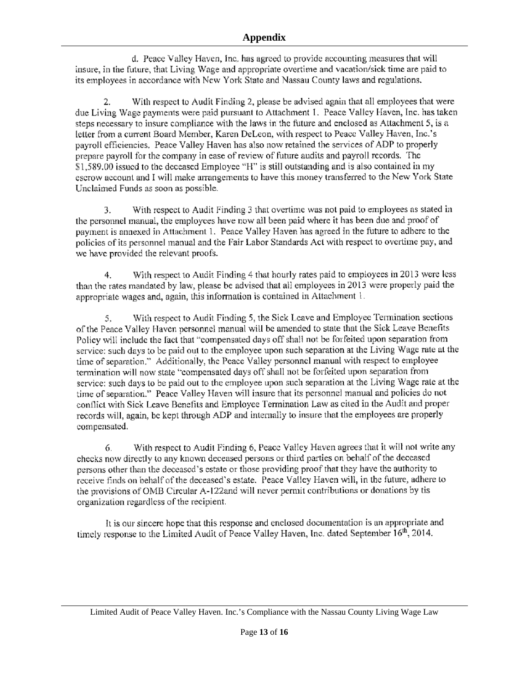d. Peace Valley Haven, Inc. has agreed to provide accounting measures that will insure, in the future, that Living Wage and appropriate overtime and vacation/sick time are paid to its employees in accordance with New York State and Nassau County laws and regulations.

With respect to Audit Finding 2, please be advised again that all employees that were 2. due Living Wage payments were paid pursuant to Attachment 1. Peace Valley Haven, Inc. has taken steps necessary to insure compliance with the laws in the future and enclosed as Attachment 5, is a letter from a current Board Member, Karen DeLeon, with respect to Peace Valley Haven, Inc.'s payroll efficiencies. Peace Valley Haven has also now retained the services of ADP to properly prepare payroll for the company in ease of review of future audits and payroll records. The \$1,589.00 issued to the deceased Employee "H" is still outstanding and is also contained in my escrow account and I will make arrangements to have this money transferred to the New York State Unclaimed Funds as soon as possible.

With respect to Audit Finding 3 that overtime was not paid to employees as stated in 3. the personnel manual, the employees have now all been paid where it has been due and proof of payment is annexed in Attachment 1. Peace Valley Haven has agreed in the future to adhere to the policies of its personnel manual and the Fair Labor Standards Act with respect to overtime pay, and we have provided the relevant proofs.

With respect to Audit Finding 4 that hourly rates paid to employees in 2013 were less 4. than the rates mandated by law, please be advised that all employees in 2013 were properly paid the appropriate wages and, again, this information is contained in Attachment 1.

With respect to Audit Finding 5, the Sick Leave and Employee Termination sections 5. of the Peace Valley Haven personnel manual will be amended to state that the Sick Leave Benefits Policy will include the fact that "compensated days off shall not be forfeited upon separation from service: such days to be paid out to the employee upon such separation at the Living Wage rate at the time of separation." Additionally, the Peace Valley personnel manual with respect to employee termination will now state "compensated days off shall not be forfeited upon separation from service: such days to be paid out to the employee upon such separation at the Living Wage rate at the time of separation." Peace Valley Haven will insure that its personnel manual and policies do not conflict with Sick Leave Benefits and Employee Termination Law as cited in the Audit and proper records will, again, be kept through ADP and internally to insure that the employees are properly compensated.

With respect to Audit Finding 6, Peace Valley Haven agrees that it will not write any 6. checks now directly to any known deceased persons or third parties on behalf of the deceased persons other than the deceased's estate or those providing proof that they have the authority to receive finds on behalf of the deceased's estate. Peace Valley Haven will, in the future, adhere to the provisions of OMB Circular A-122and will never permit contributions or donations by tis organization regardless of the recipient.

It is our sincere hope that this response and enclosed documentation is an appropriate and timely response to the Limited Audit of Peace Valley Haven, Inc. dated September  $16<sup>th</sup>$ , 2014.

Limited Audit of Peace Valley Haven. Inc.'s Compliance with the Nassau County Living Wage Law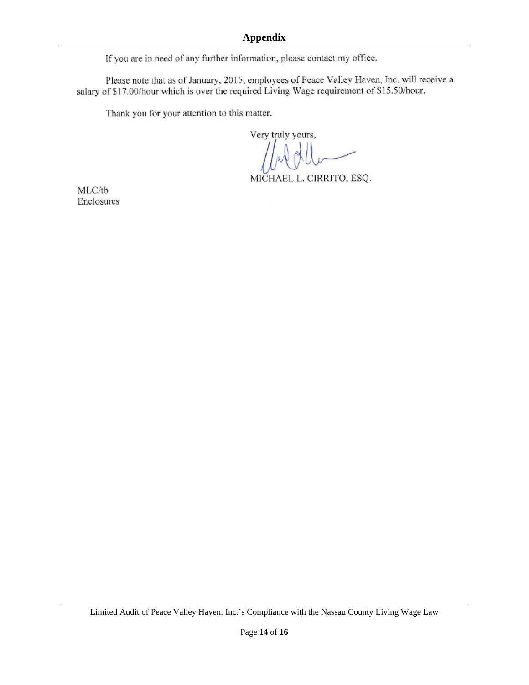If you are in need of any further information, please contact my office.

Please note that as of January, 2015, employees of Peace Valley Haven, Inc. will receive a salary of \$17.00/hour which is over the required Living Wage requirement of \$15.50/hour.

Thank you for your attention to this matter.

Very truly yours,

MICHAEL L. CIRRITO, ESQ.

MLC/tb Enclosures

Limited Audit of Peace Valley Haven. Inc.'s Compliance with the Nassau County Living Wage Law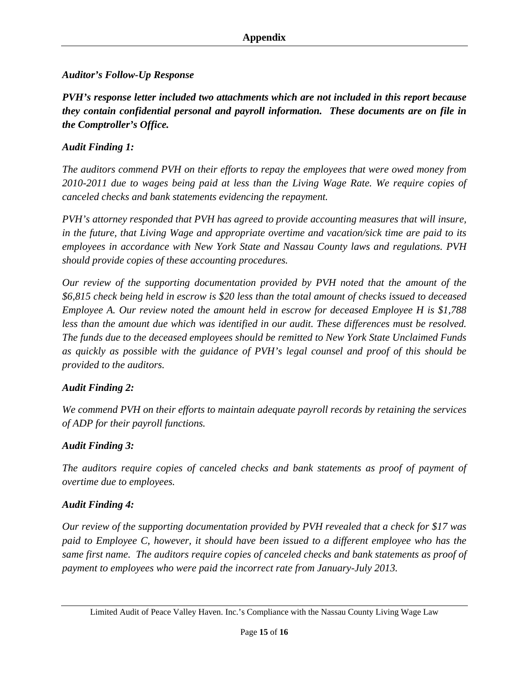## *Auditor's Follow-Up Response*

*PVH's response letter included two attachments which are not included in this report because they contain confidential personal and payroll information. These documents are on file in the Comptroller's Office.* 

## *Audit Finding 1:*

*The auditors commend PVH on their efforts to repay the employees that were owed money from 2010-2011 due to wages being paid at less than the Living Wage Rate. We require copies of canceled checks and bank statements evidencing the repayment.* 

*PVH's attorney responded that PVH has agreed to provide accounting measures that will insure, in the future, that Living Wage and appropriate overtime and vacation/sick time are paid to its employees in accordance with New York State and Nassau County laws and regulations. PVH should provide copies of these accounting procedures.* 

*Our review of the supporting documentation provided by PVH noted that the amount of the \$6,815 check being held in escrow is \$20 less than the total amount of checks issued to deceased Employee A. Our review noted the amount held in escrow for deceased Employee H is \$1,788 less than the amount due which was identified in our audit. These differences must be resolved. The funds due to the deceased employees should be remitted to New York State Unclaimed Funds as quickly as possible with the guidance of PVH's legal counsel and proof of this should be provided to the auditors.* 

## *Audit Finding 2:*

*We commend PVH on their efforts to maintain adequate payroll records by retaining the services of ADP for their payroll functions.* 

## *Audit Finding 3:*

*The auditors require copies of canceled checks and bank statements as proof of payment of overtime due to employees.* 

## *Audit Finding 4:*

*Our review of the supporting documentation provided by PVH revealed that a check for \$17 was paid to Employee C, however, it should have been issued to a different employee who has the same first name. The auditors require copies of canceled checks and bank statements as proof of payment to employees who were paid the incorrect rate from January-July 2013.* 

Limited Audit of Peace Valley Haven. Inc.'s Compliance with the Nassau County Living Wage Law